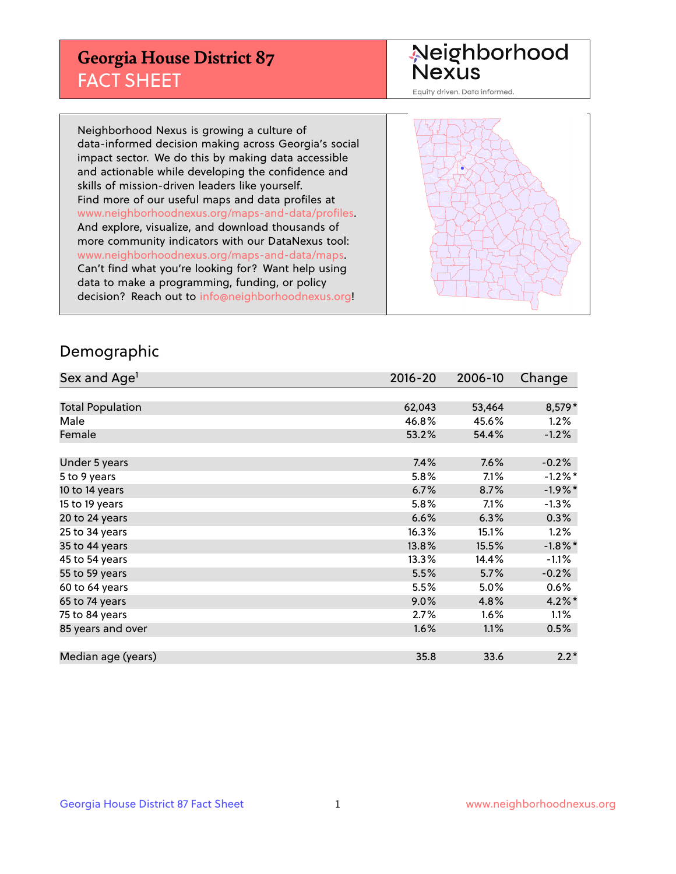## **Georgia House District 87** FACT SHEET

# Neighborhood<br>Nexus

Equity driven. Data informed.

Neighborhood Nexus is growing a culture of data-informed decision making across Georgia's social impact sector. We do this by making data accessible and actionable while developing the confidence and skills of mission-driven leaders like yourself. Find more of our useful maps and data profiles at www.neighborhoodnexus.org/maps-and-data/profiles. And explore, visualize, and download thousands of more community indicators with our DataNexus tool: www.neighborhoodnexus.org/maps-and-data/maps. Can't find what you're looking for? Want help using data to make a programming, funding, or policy decision? Reach out to [info@neighborhoodnexus.org!](mailto:info@neighborhoodnexus.org)



#### Demographic

| Sex and Age <sup>1</sup> | $2016 - 20$ | 2006-10 | Change     |
|--------------------------|-------------|---------|------------|
|                          |             |         |            |
| <b>Total Population</b>  | 62,043      | 53,464  | 8,579*     |
| Male                     | 46.8%       | 45.6%   | 1.2%       |
| Female                   | 53.2%       | 54.4%   | $-1.2%$    |
|                          |             |         |            |
| Under 5 years            | 7.4%        | 7.6%    | $-0.2%$    |
| 5 to 9 years             | 5.8%        | 7.1%    | $-1.2%$ *  |
| 10 to 14 years           | 6.7%        | 8.7%    | $-1.9%$ *  |
| 15 to 19 years           | 5.8%        | 7.1%    | $-1.3%$    |
| 20 to 24 years           | 6.6%        | 6.3%    | 0.3%       |
| 25 to 34 years           | 16.3%       | 15.1%   | 1.2%       |
| 35 to 44 years           | 13.8%       | 15.5%   | $-1.8\%$ * |
| 45 to 54 years           | 13.3%       | 14.4%   | $-1.1%$    |
| 55 to 59 years           | 5.5%        | 5.7%    | $-0.2%$    |
| 60 to 64 years           | 5.5%        | 5.0%    | 0.6%       |
| 65 to 74 years           | 9.0%        | 4.8%    | $4.2\%$    |
| 75 to 84 years           | 2.7%        | 1.6%    | 1.1%       |
| 85 years and over        | 1.6%        | 1.1%    | 0.5%       |
|                          |             |         |            |
| Median age (years)       | 35.8        | 33.6    | $2.2*$     |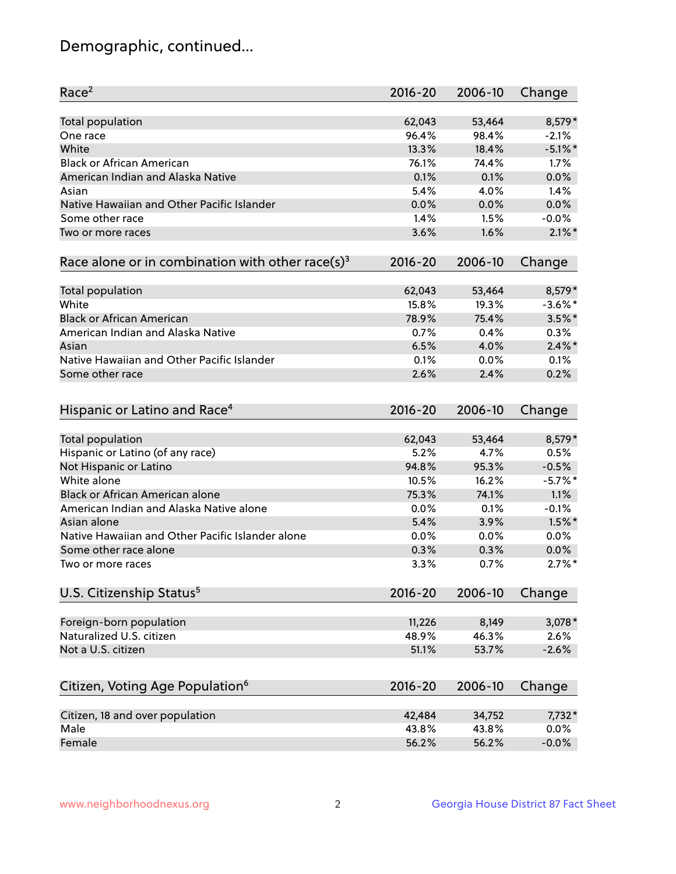## Demographic, continued...

| Race <sup>2</sup>                                            | $2016 - 20$ | 2006-10 | Change     |
|--------------------------------------------------------------|-------------|---------|------------|
| Total population                                             | 62,043      | 53,464  | $8,579*$   |
| One race                                                     | 96.4%       | 98.4%   | $-2.1%$    |
| White                                                        | 13.3%       | 18.4%   | $-5.1\%$ * |
| <b>Black or African American</b>                             | 76.1%       | 74.4%   | 1.7%       |
| American Indian and Alaska Native                            | 0.1%        | 0.1%    | 0.0%       |
| Asian                                                        | 5.4%        | 4.0%    | 1.4%       |
| Native Hawaiian and Other Pacific Islander                   | 0.0%        | 0.0%    | 0.0%       |
| Some other race                                              | 1.4%        | 1.5%    | $-0.0%$    |
| Two or more races                                            | 3.6%        | 1.6%    | $2.1\%$ *  |
| Race alone or in combination with other race(s) <sup>3</sup> | $2016 - 20$ | 2006-10 | Change     |
| Total population                                             | 62,043      | 53,464  | 8,579*     |
| White                                                        | 15.8%       | 19.3%   | $-3.6\%$ * |
| <b>Black or African American</b>                             | 78.9%       | 75.4%   | $3.5\%$ *  |
| American Indian and Alaska Native                            | 0.7%        | 0.4%    | 0.3%       |
| Asian                                                        | 6.5%        | 4.0%    | $2.4\%$ *  |
| Native Hawaiian and Other Pacific Islander                   | 0.1%        | 0.0%    | 0.1%       |
| Some other race                                              | 2.6%        | 2.4%    | 0.2%       |
| Hispanic or Latino and Race <sup>4</sup>                     | $2016 - 20$ | 2006-10 | Change     |
| Total population                                             | 62,043      | 53,464  | 8,579*     |
| Hispanic or Latino (of any race)                             | 5.2%        | 4.7%    | 0.5%       |
| Not Hispanic or Latino                                       | 94.8%       | 95.3%   | $-0.5%$    |
| White alone                                                  | 10.5%       | 16.2%   | $-5.7\%$ * |
| <b>Black or African American alone</b>                       | 75.3%       | 74.1%   | 1.1%       |
| American Indian and Alaska Native alone                      | 0.0%        | 0.1%    | $-0.1%$    |
| Asian alone                                                  | 5.4%        | 3.9%    | $1.5%$ *   |
| Native Hawaiian and Other Pacific Islander alone             | 0.0%        | 0.0%    | 0.0%       |
| Some other race alone                                        | 0.3%        | 0.3%    | 0.0%       |
| Two or more races                                            | 3.3%        | 0.7%    | $2.7\%$ *  |
| U.S. Citizenship Status <sup>5</sup>                         | $2016 - 20$ | 2006-10 | Change     |
| Foreign-born population                                      | 11,226      | 8,149   | 3,078*     |
| Naturalized U.S. citizen                                     | 48.9%       | 46.3%   | 2.6%       |
| Not a U.S. citizen                                           | 51.1%       | 53.7%   | $-2.6%$    |
|                                                              |             |         |            |
| Citizen, Voting Age Population <sup>6</sup>                  | $2016 - 20$ | 2006-10 | Change     |
| Citizen, 18 and over population                              | 42,484      | 34,752  | 7,732*     |
| Male                                                         | 43.8%       | 43.8%   | 0.0%       |
| Female                                                       | 56.2%       | 56.2%   | $-0.0%$    |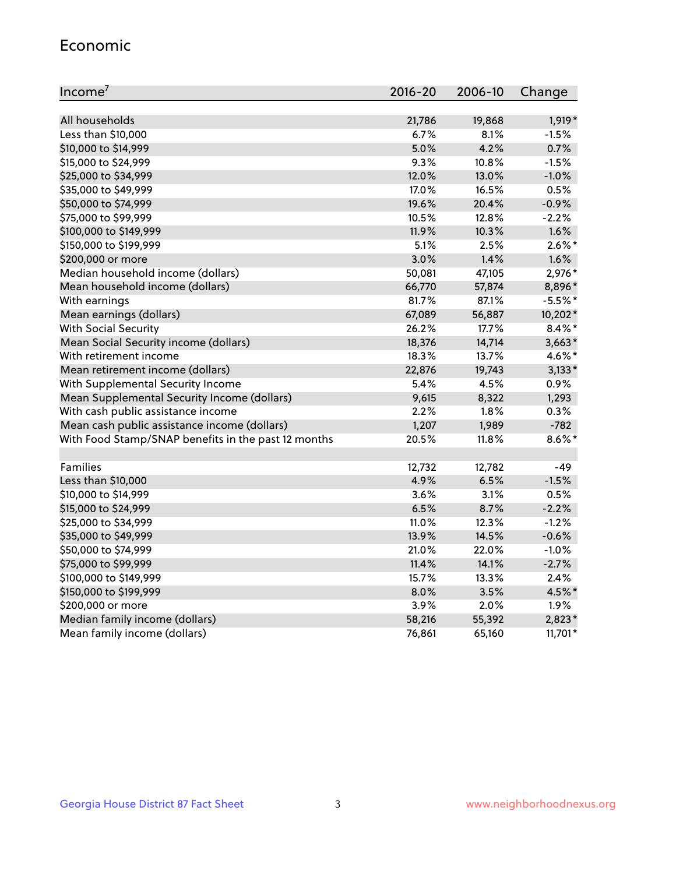#### Economic

| Income <sup>7</sup>                                 | $2016 - 20$ | 2006-10 | Change    |
|-----------------------------------------------------|-------------|---------|-----------|
|                                                     |             |         |           |
| All households                                      | 21,786      | 19,868  | 1,919*    |
| Less than \$10,000                                  | 6.7%        | 8.1%    | $-1.5%$   |
| \$10,000 to \$14,999                                | 5.0%        | 4.2%    | 0.7%      |
| \$15,000 to \$24,999                                | 9.3%        | 10.8%   | $-1.5%$   |
| \$25,000 to \$34,999                                | 12.0%       | 13.0%   | $-1.0%$   |
| \$35,000 to \$49,999                                | 17.0%       | 16.5%   | 0.5%      |
| \$50,000 to \$74,999                                | 19.6%       | 20.4%   | $-0.9%$   |
| \$75,000 to \$99,999                                | 10.5%       | 12.8%   | $-2.2%$   |
| \$100,000 to \$149,999                              | 11.9%       | 10.3%   | 1.6%      |
| \$150,000 to \$199,999                              | 5.1%        | 2.5%    | $2.6\%$ * |
| \$200,000 or more                                   | 3.0%        | 1.4%    | 1.6%      |
| Median household income (dollars)                   | 50,081      | 47,105  | 2,976*    |
| Mean household income (dollars)                     | 66,770      | 57,874  | 8,896*    |
| With earnings                                       | 81.7%       | 87.1%   | $-5.5%$ * |
| Mean earnings (dollars)                             | 67,089      | 56,887  | 10,202*   |
| <b>With Social Security</b>                         | 26.2%       | 17.7%   | $8.4\%$ * |
| Mean Social Security income (dollars)               | 18,376      | 14,714  | $3,663*$  |
| With retirement income                              | 18.3%       | 13.7%   | 4.6%*     |
| Mean retirement income (dollars)                    | 22,876      | 19,743  | $3,133*$  |
| With Supplemental Security Income                   | 5.4%        | 4.5%    | 0.9%      |
| Mean Supplemental Security Income (dollars)         | 9,615       | 8,322   | 1,293     |
| With cash public assistance income                  | 2.2%        | $1.8\%$ | 0.3%      |
| Mean cash public assistance income (dollars)        | 1,207       | 1,989   | $-782$    |
| With Food Stamp/SNAP benefits in the past 12 months | 20.5%       | 11.8%   | $8.6\%$ * |
|                                                     |             |         |           |
| Families                                            | 12,732      | 12,782  | $-49$     |
| Less than \$10,000                                  | 4.9%        | 6.5%    | $-1.5%$   |
| \$10,000 to \$14,999                                | 3.6%        | 3.1%    | 0.5%      |
| \$15,000 to \$24,999                                | 6.5%        | 8.7%    | $-2.2%$   |
| \$25,000 to \$34,999                                | 11.0%       | 12.3%   | $-1.2%$   |
| \$35,000 to \$49,999                                | 13.9%       | 14.5%   | $-0.6%$   |
| \$50,000 to \$74,999                                | 21.0%       | 22.0%   | $-1.0%$   |
| \$75,000 to \$99,999                                | 11.4%       | 14.1%   | $-2.7%$   |
| \$100,000 to \$149,999                              | 15.7%       | 13.3%   | 2.4%      |
| \$150,000 to \$199,999                              | 8.0%        | 3.5%    | 4.5%*     |
| \$200,000 or more                                   | 3.9%        | 2.0%    | 1.9%      |
| Median family income (dollars)                      | 58,216      | 55,392  | 2,823*    |
| Mean family income (dollars)                        | 76,861      | 65,160  | 11,701*   |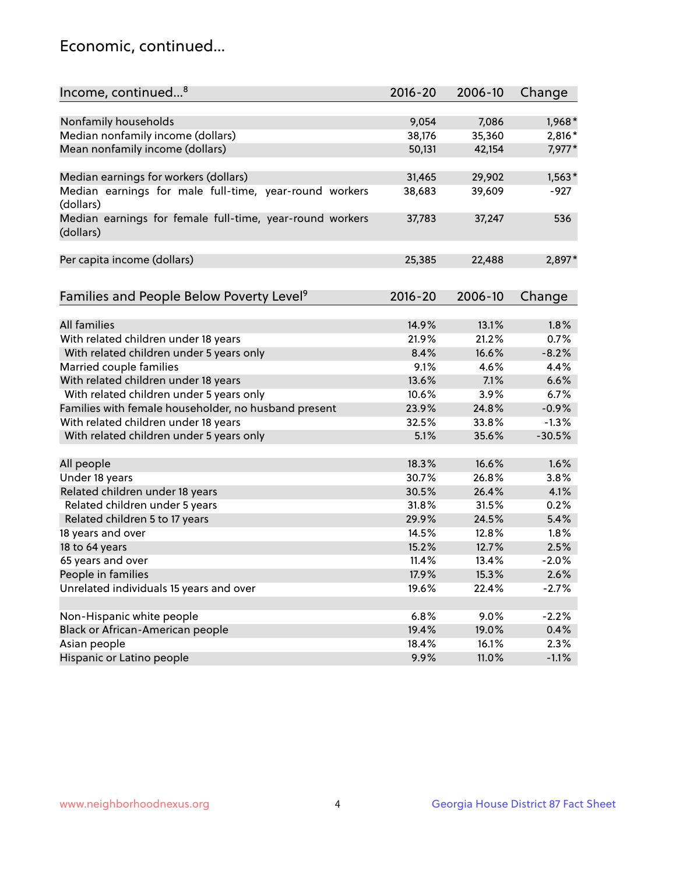## Economic, continued...

| Income, continued <sup>8</sup>                                        | $2016 - 20$ | 2006-10 | Change   |
|-----------------------------------------------------------------------|-------------|---------|----------|
|                                                                       |             |         |          |
| Nonfamily households                                                  | 9,054       | 7,086   | 1,968*   |
| Median nonfamily income (dollars)                                     | 38,176      | 35,360  | 2,816*   |
| Mean nonfamily income (dollars)                                       | 50,131      | 42,154  | 7,977*   |
| Median earnings for workers (dollars)                                 | 31,465      | 29,902  | $1,563*$ |
| Median earnings for male full-time, year-round workers                | 38,683      | 39,609  | $-927$   |
| (dollars)                                                             |             |         |          |
| Median earnings for female full-time, year-round workers<br>(dollars) | 37,783      | 37,247  | 536      |
| Per capita income (dollars)                                           | 25,385      | 22,488  | 2,897*   |
|                                                                       |             |         |          |
| Families and People Below Poverty Level <sup>9</sup>                  | $2016 - 20$ | 2006-10 | Change   |
|                                                                       |             |         |          |
| <b>All families</b>                                                   | 14.9%       | 13.1%   | 1.8%     |
| With related children under 18 years                                  | 21.9%       | 21.2%   | 0.7%     |
| With related children under 5 years only                              | 8.4%        | 16.6%   | $-8.2%$  |
| Married couple families                                               | 9.1%        | 4.6%    | 4.4%     |
| With related children under 18 years                                  | 13.6%       | 7.1%    | 6.6%     |
| With related children under 5 years only                              | 10.6%       | 3.9%    | 6.7%     |
| Families with female householder, no husband present                  | 23.9%       | 24.8%   | $-0.9%$  |
| With related children under 18 years                                  | 32.5%       | 33.8%   | $-1.3%$  |
| With related children under 5 years only                              | 5.1%        | 35.6%   | $-30.5%$ |
| All people                                                            | 18.3%       | 16.6%   | 1.6%     |
| Under 18 years                                                        | 30.7%       | 26.8%   | 3.8%     |
| Related children under 18 years                                       | 30.5%       | 26.4%   | 4.1%     |
| Related children under 5 years                                        | 31.8%       | 31.5%   | 0.2%     |
| Related children 5 to 17 years                                        | 29.9%       | 24.5%   | 5.4%     |
| 18 years and over                                                     | 14.5%       | 12.8%   | 1.8%     |
|                                                                       | 15.2%       |         |          |
| 18 to 64 years                                                        |             | 12.7%   | 2.5%     |
| 65 years and over                                                     | 11.4%       | 13.4%   | $-2.0%$  |
| People in families                                                    | 17.9%       | 15.3%   | 2.6%     |
| Unrelated individuals 15 years and over                               | 19.6%       | 22.4%   | $-2.7%$  |
| Non-Hispanic white people                                             | 6.8%        | 9.0%    | $-2.2%$  |
|                                                                       |             |         |          |
| Black or African-American people                                      | 19.4%       | 19.0%   | 0.4%     |
| Asian people                                                          | 18.4%       | 16.1%   | 2.3%     |
| Hispanic or Latino people                                             | 9.9%        | 11.0%   | $-1.1%$  |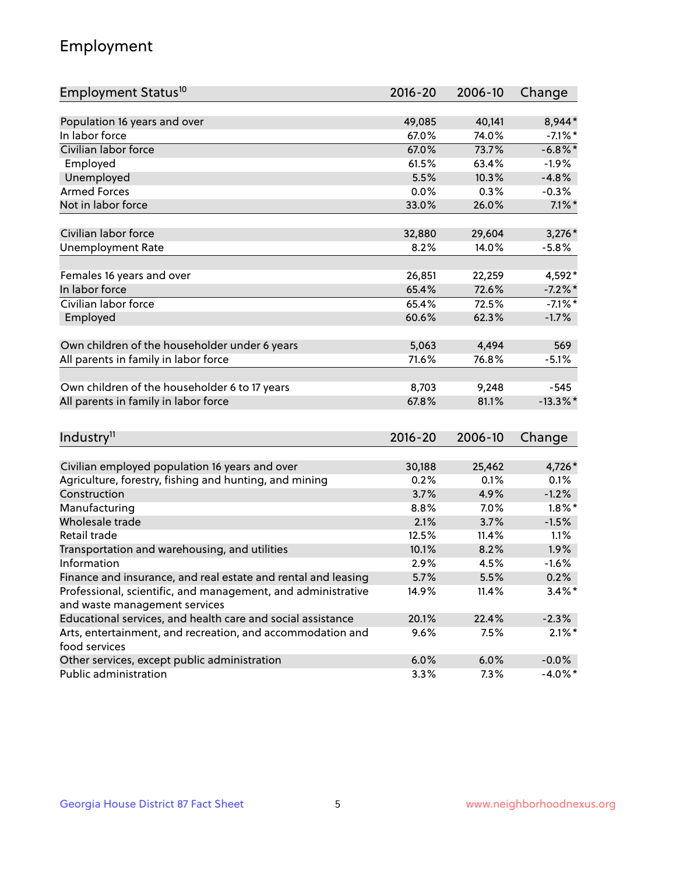## Employment

| Employment Status <sup>10</sup>                                                               | $2016 - 20$ | 2006-10 | Change      |
|-----------------------------------------------------------------------------------------------|-------------|---------|-------------|
|                                                                                               |             |         |             |
| Population 16 years and over                                                                  | 49,085      | 40,141  | 8,944*      |
| In labor force                                                                                | 67.0%       | 74.0%   | $-7.1\%$ *  |
| Civilian labor force                                                                          | 67.0%       | 73.7%   | $-6.8\%$ *  |
| Employed                                                                                      | 61.5%       | 63.4%   | $-1.9%$     |
| Unemployed                                                                                    | 5.5%        | 10.3%   | $-4.8%$     |
| <b>Armed Forces</b>                                                                           | 0.0%        | 0.3%    | $-0.3%$     |
| Not in labor force                                                                            | 33.0%       | 26.0%   | $7.1\%$ *   |
| Civilian labor force                                                                          | 32,880      | 29,604  | $3,276*$    |
|                                                                                               | 8.2%        | 14.0%   | $-5.8%$     |
| <b>Unemployment Rate</b>                                                                      |             |         |             |
| Females 16 years and over                                                                     | 26,851      | 22,259  | 4,592*      |
| In labor force                                                                                | 65.4%       | 72.6%   | $-7.2\%$ *  |
| Civilian labor force                                                                          | 65.4%       | 72.5%   | $-7.1\%$ *  |
| Employed                                                                                      | 60.6%       | 62.3%   | $-1.7%$     |
|                                                                                               |             |         |             |
| Own children of the householder under 6 years                                                 | 5,063       | 4,494   | 569         |
| All parents in family in labor force                                                          | 71.6%       | 76.8%   | $-5.1%$     |
| Own children of the householder 6 to 17 years                                                 | 8,703       | 9,248   | $-545$      |
| All parents in family in labor force                                                          | 67.8%       | 81.1%   | $-13.3\%$ * |
|                                                                                               |             |         |             |
| Industry <sup>11</sup>                                                                        | $2016 - 20$ | 2006-10 | Change      |
|                                                                                               |             |         |             |
| Civilian employed population 16 years and over                                                | 30,188      | 25,462  | 4,726*      |
| Agriculture, forestry, fishing and hunting, and mining                                        | 0.2%        | 0.1%    | 0.1%        |
| Construction                                                                                  | 3.7%        | 4.9%    | $-1.2%$     |
| Manufacturing                                                                                 | 8.8%        | 7.0%    | $1.8\%$ *   |
| Wholesale trade                                                                               | 2.1%        | 3.7%    | $-1.5%$     |
| Retail trade                                                                                  | 12.5%       | 11.4%   | 1.1%        |
| Transportation and warehousing, and utilities                                                 | 10.1%       | 8.2%    | 1.9%        |
| Information                                                                                   | 2.9%        | 4.5%    | $-1.6%$     |
| Finance and insurance, and real estate and rental and leasing                                 | 5.7%        | 5.5%    | 0.2%        |
| Professional, scientific, and management, and administrative<br>and waste management services | 14.9%       | 11.4%   | $3.4\%$ *   |
| Educational services, and health care and social assistance                                   | 20.1%       | 22.4%   | $-2.3%$     |
| Arts, entertainment, and recreation, and accommodation and                                    | 9.6%        | 7.5%    | $2.1\%$ *   |
| food services                                                                                 |             |         |             |
| Other services, except public administration                                                  | 6.0%        | 6.0%    | $-0.0%$     |
| Public administration                                                                         | 3.3%        | 7.3%    | $-4.0\%$ *  |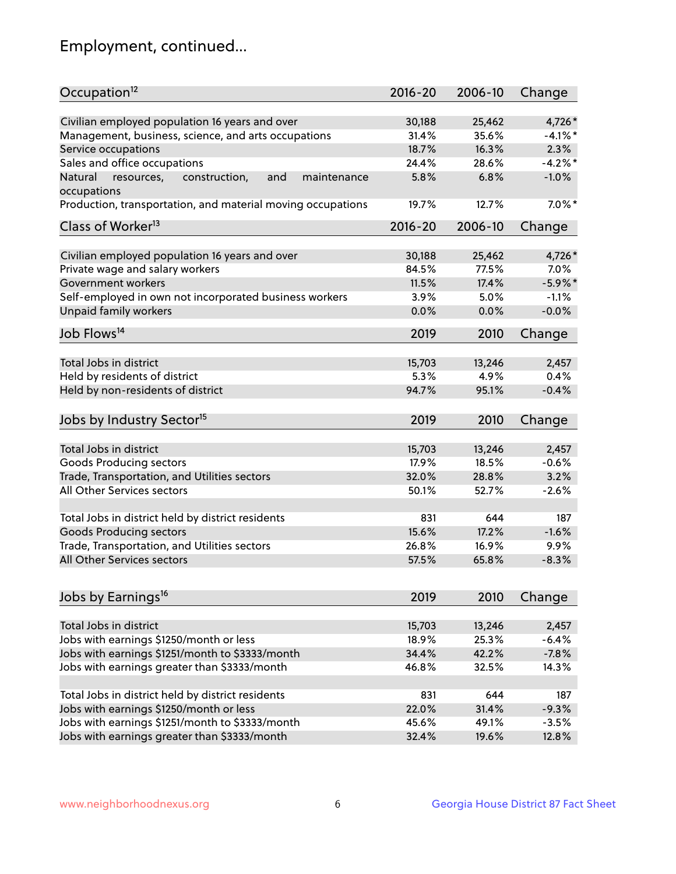## Employment, continued...

| Occupation <sup>12</sup>                                                    | $2016 - 20$ | 2006-10         | Change           |
|-----------------------------------------------------------------------------|-------------|-----------------|------------------|
| Civilian employed population 16 years and over                              | 30,188      | 25,462          | 4,726*           |
| Management, business, science, and arts occupations                         | 31.4%       | 35.6%           | $-4.1%$ *        |
| Service occupations                                                         | 18.7%       | 16.3%           | 2.3%             |
| Sales and office occupations                                                | 24.4%       | 28.6%           | $-4.2%$ *        |
|                                                                             |             | 6.8%            | $-1.0%$          |
| Natural<br>and<br>resources,<br>construction,<br>maintenance<br>occupations | 5.8%        |                 |                  |
| Production, transportation, and material moving occupations                 | 19.7%       | 12.7%           | $7.0\%$ *        |
| Class of Worker <sup>13</sup>                                               | $2016 - 20$ | 2006-10         | Change           |
| Civilian employed population 16 years and over                              | 30,188      | 25,462          | 4,726*           |
| Private wage and salary workers                                             | 84.5%       | 77.5%           | $7.0\%$          |
| Government workers                                                          | 11.5%       | 17.4%           | $-5.9\%$ *       |
|                                                                             |             |                 |                  |
| Self-employed in own not incorporated business workers                      | 3.9%        | 5.0%            | $-1.1%$          |
| Unpaid family workers                                                       | 0.0%        | 0.0%            | $-0.0%$          |
| Job Flows <sup>14</sup>                                                     | 2019        | 2010            | Change           |
|                                                                             |             |                 |                  |
| Total Jobs in district                                                      | 15,703      | 13,246          | 2,457            |
| Held by residents of district                                               | 5.3%        | 4.9%            | 0.4%             |
| Held by non-residents of district                                           | 94.7%       | 95.1%           | $-0.4%$          |
| Jobs by Industry Sector <sup>15</sup>                                       | 2019        | 2010            | Change           |
|                                                                             |             |                 |                  |
| Total Jobs in district                                                      | 15,703      | 13,246          | 2,457            |
| Goods Producing sectors                                                     | 17.9%       | 18.5%           | $-0.6%$          |
| Trade, Transportation, and Utilities sectors                                | 32.0%       | 28.8%           | 3.2%             |
| All Other Services sectors                                                  | 50.1%       | 52.7%           | $-2.6%$          |
| Total Jobs in district held by district residents                           | 831         | 644             | 187              |
| <b>Goods Producing sectors</b>                                              | 15.6%       | 17.2%           | $-1.6%$          |
| Trade, Transportation, and Utilities sectors                                | 26.8%       | 16.9%           | 9.9%             |
| All Other Services sectors                                                  | 57.5%       | 65.8%           | $-8.3%$          |
|                                                                             |             |                 |                  |
| Jobs by Earnings <sup>16</sup>                                              | 2019        | 2010            | Change           |
|                                                                             |             |                 |                  |
| Total Jobs in district                                                      | 15,703      | 13,246<br>25.3% | 2,457<br>$-6.4%$ |
| Jobs with earnings \$1250/month or less                                     | 18.9%       |                 |                  |
| Jobs with earnings \$1251/month to \$3333/month                             | 34.4%       | 42.2%           | $-7.8%$          |
| Jobs with earnings greater than \$3333/month                                | 46.8%       | 32.5%           | 14.3%            |
| Total Jobs in district held by district residents                           | 831         | 644             | 187              |
| Jobs with earnings \$1250/month or less                                     | 22.0%       | 31.4%           | $-9.3%$          |
| Jobs with earnings \$1251/month to \$3333/month                             | 45.6%       | 49.1%           | $-3.5%$          |
| Jobs with earnings greater than \$3333/month                                | 32.4%       | 19.6%           | 12.8%            |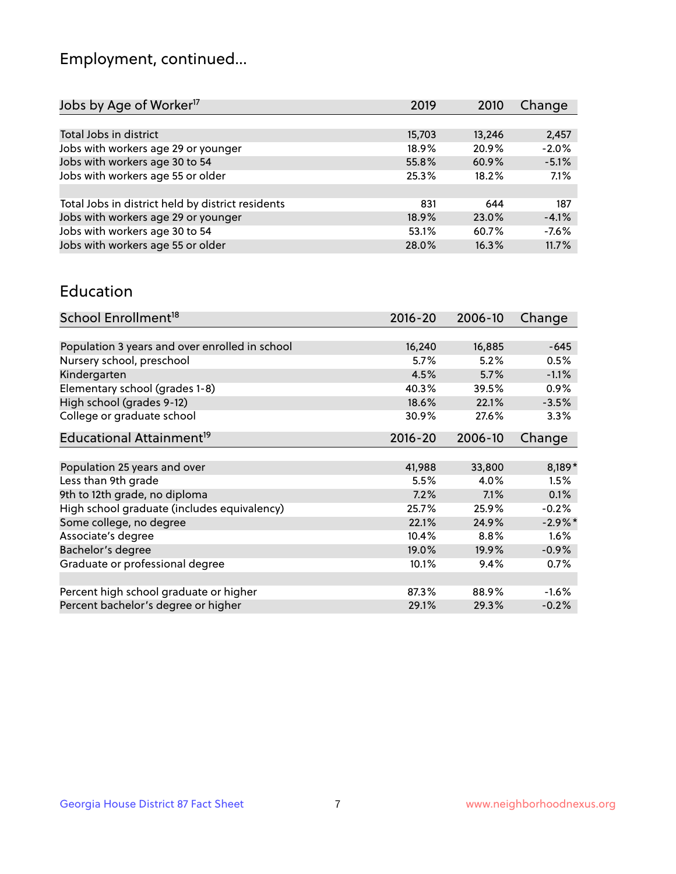## Employment, continued...

| 2019   | 2010   | Change  |
|--------|--------|---------|
|        |        |         |
| 15,703 | 13,246 | 2,457   |
| 18.9%  | 20.9%  | $-2.0%$ |
| 55.8%  | 60.9%  | $-5.1%$ |
| 25.3%  | 18.2%  | 7.1%    |
|        |        |         |
| 831    | 644    | 187     |
| 18.9%  | 23.0%  | $-4.1%$ |
| 53.1%  | 60.7%  | $-7.6%$ |
| 28.0%  | 16.3%  | 11.7%   |
|        |        |         |

#### Education

| School Enrollment <sup>18</sup>                | $2016 - 20$ | 2006-10 | Change     |
|------------------------------------------------|-------------|---------|------------|
|                                                |             |         |            |
| Population 3 years and over enrolled in school | 16,240      | 16,885  | $-645$     |
| Nursery school, preschool                      | 5.7%        | 5.2%    | 0.5%       |
| Kindergarten                                   | 4.5%        | 5.7%    | $-1.1%$    |
| Elementary school (grades 1-8)                 | 40.3%       | 39.5%   | 0.9%       |
| High school (grades 9-12)                      | 18.6%       | 22.1%   | $-3.5%$    |
| College or graduate school                     | 30.9%       | 27.6%   | $3.3\%$    |
| Educational Attainment <sup>19</sup>           | $2016 - 20$ | 2006-10 | Change     |
|                                                |             |         |            |
| Population 25 years and over                   | 41,988      | 33,800  | 8,189*     |
| Less than 9th grade                            | 5.5%        | 4.0%    | 1.5%       |
| 9th to 12th grade, no diploma                  | 7.2%        | 7.1%    | 0.1%       |
| High school graduate (includes equivalency)    | 25.7%       | 25.9%   | $-0.2%$    |
| Some college, no degree                        | 22.1%       | 24.9%   | $-2.9\%$ * |
| Associate's degree                             | 10.4%       | 8.8%    | 1.6%       |
| Bachelor's degree                              | 19.0%       | 19.9%   | $-0.9%$    |
| Graduate or professional degree                | 10.1%       | 9.4%    | 0.7%       |
|                                                |             |         |            |
| Percent high school graduate or higher         | 87.3%       | 88.9%   | $-1.6%$    |
| Percent bachelor's degree or higher            | 29.1%       | 29.3%   | $-0.2%$    |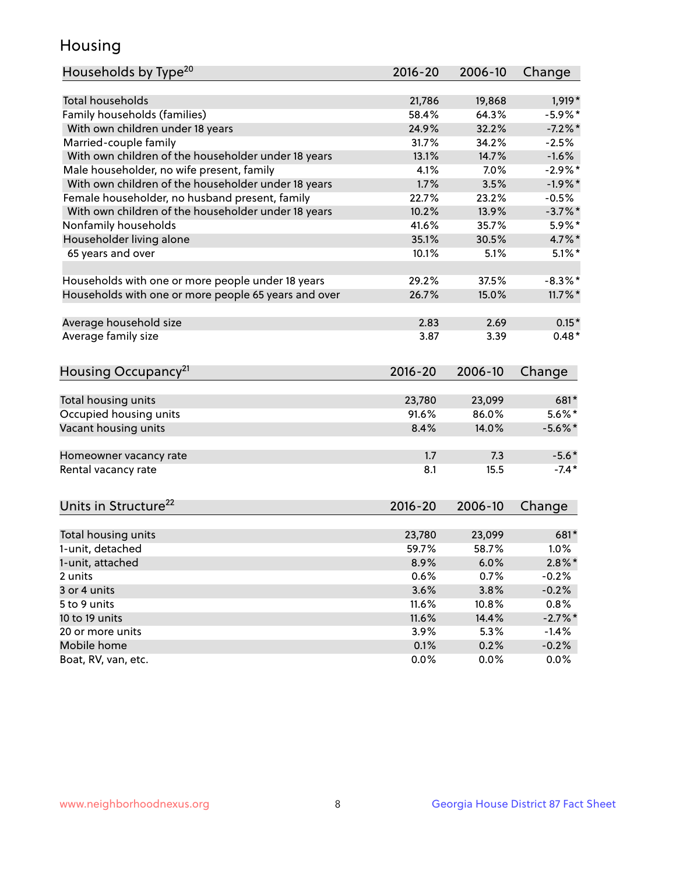## Housing

| Households by Type <sup>20</sup>                     | 2016-20     | 2006-10 | Change     |
|------------------------------------------------------|-------------|---------|------------|
|                                                      |             |         |            |
| <b>Total households</b>                              | 21,786      | 19,868  | 1,919*     |
| Family households (families)                         | 58.4%       | 64.3%   | $-5.9\%$ * |
| With own children under 18 years                     | 24.9%       | 32.2%   | $-7.2%$ *  |
| Married-couple family                                | 31.7%       | 34.2%   | $-2.5%$    |
| With own children of the householder under 18 years  | 13.1%       | 14.7%   | $-1.6%$    |
| Male householder, no wife present, family            | 4.1%        | 7.0%    | $-2.9\%$ * |
| With own children of the householder under 18 years  | 1.7%        | 3.5%    | $-1.9%$ *  |
| Female householder, no husband present, family       | 22.7%       | 23.2%   | $-0.5%$    |
| With own children of the householder under 18 years  | 10.2%       | 13.9%   | $-3.7%$ *  |
| Nonfamily households                                 | 41.6%       | 35.7%   | 5.9%*      |
| Householder living alone                             | 35.1%       | 30.5%   | 4.7%*      |
| 65 years and over                                    | 10.1%       | 5.1%    | $5.1\%$ *  |
|                                                      |             |         |            |
| Households with one or more people under 18 years    | 29.2%       | 37.5%   | $-8.3\%$ * |
| Households with one or more people 65 years and over | 26.7%       | 15.0%   | $11.7\%$ * |
|                                                      |             |         |            |
| Average household size                               | 2.83        | 2.69    | $0.15*$    |
| Average family size                                  | 3.87        | 3.39    | $0.48*$    |
|                                                      |             |         |            |
| Housing Occupancy <sup>21</sup>                      | 2016-20     | 2006-10 | Change     |
| Total housing units                                  | 23,780      | 23,099  | 681*       |
| Occupied housing units                               | 91.6%       | 86.0%   | $5.6\%$ *  |
| Vacant housing units                                 | 8.4%        | 14.0%   | $-5.6\%$ * |
|                                                      |             |         |            |
| Homeowner vacancy rate                               | 1.7         | 7.3     | $-5.6*$    |
| Rental vacancy rate                                  | 8.1         | 15.5    | $-7.4*$    |
|                                                      |             |         |            |
| Units in Structure <sup>22</sup>                     | $2016 - 20$ | 2006-10 | Change     |
|                                                      |             |         |            |
| Total housing units                                  | 23,780      | 23,099  | 681*       |
| 1-unit, detached                                     | 59.7%       | 58.7%   | 1.0%       |
| 1-unit, attached                                     | 8.9%        | 6.0%    | $2.8\%$ *  |
| 2 units                                              | 0.6%        | 0.7%    | $-0.2%$    |
| 3 or 4 units                                         | 3.6%        | 3.8%    | $-0.2%$    |
| 5 to 9 units                                         | 11.6%       | 10.8%   | 0.8%       |
| 10 to 19 units                                       | 11.6%       | 14.4%   | $-2.7\%$ * |
| 20 or more units                                     | 3.9%        | 5.3%    | $-1.4\%$   |
| Mobile home                                          | 0.1%        | 0.2%    | $-0.2%$    |
| Boat, RV, van, etc.                                  | 0.0%        | 0.0%    | $0.0\%$    |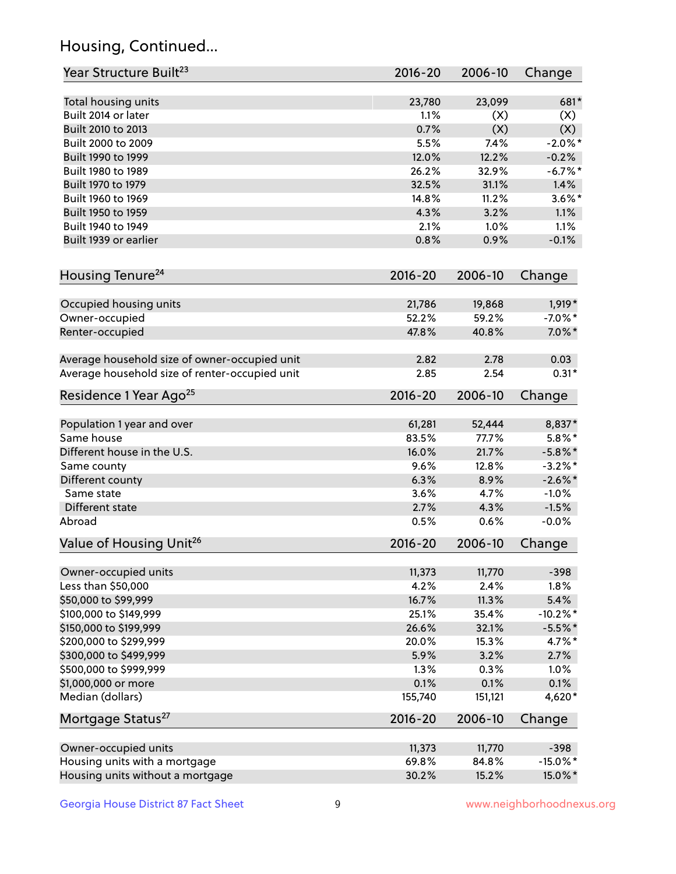## Housing, Continued...

| Year Structure Built <sup>23</sup>             | 2016-20     | 2006-10 | Change      |
|------------------------------------------------|-------------|---------|-------------|
| Total housing units                            | 23,780      | 23,099  | 681*        |
| Built 2014 or later                            | 1.1%        | (X)     | (X)         |
| Built 2010 to 2013                             | 0.7%        | (X)     | (X)         |
| Built 2000 to 2009                             | 5.5%        | 7.4%    | $-2.0\%$ *  |
| Built 1990 to 1999                             | 12.0%       | 12.2%   | $-0.2%$     |
| Built 1980 to 1989                             | 26.2%       | 32.9%   | $-6.7%$ *   |
| Built 1970 to 1979                             | 32.5%       | 31.1%   | 1.4%        |
| Built 1960 to 1969                             | 14.8%       | 11.2%   | $3.6\%$ *   |
| Built 1950 to 1959                             | 4.3%        | 3.2%    | 1.1%        |
| Built 1940 to 1949                             | 2.1%        | 1.0%    | 1.1%        |
| Built 1939 or earlier                          | 0.8%        | 0.9%    | $-0.1%$     |
| Housing Tenure <sup>24</sup>                   | $2016 - 20$ | 2006-10 | Change      |
|                                                |             |         |             |
| Occupied housing units                         | 21,786      | 19,868  | $1,919*$    |
| Owner-occupied                                 | 52.2%       | 59.2%   | $-7.0\%$ *  |
| Renter-occupied                                | 47.8%       | 40.8%   | $7.0\%$ *   |
| Average household size of owner-occupied unit  | 2.82        | 2.78    | 0.03        |
| Average household size of renter-occupied unit | 2.85        | 2.54    | $0.31*$     |
| Residence 1 Year Ago <sup>25</sup>             | $2016 - 20$ | 2006-10 | Change      |
| Population 1 year and over                     | 61,281      | 52,444  | 8,837*      |
| Same house                                     | 83.5%       | 77.7%   | $5.8\%$ *   |
| Different house in the U.S.                    | 16.0%       | 21.7%   | $-5.8\%$ *  |
| Same county                                    | 9.6%        | 12.8%   | $-3.2\%$ *  |
| Different county                               | 6.3%        | 8.9%    | $-2.6\%$ *  |
| Same state                                     | 3.6%        | 4.7%    | $-1.0%$     |
| Different state                                | 2.7%        | 4.3%    | $-1.5%$     |
| Abroad                                         | 0.5%        | 0.6%    | $-0.0%$     |
| Value of Housing Unit <sup>26</sup>            | $2016 - 20$ | 2006-10 | Change      |
|                                                |             |         |             |
| Owner-occupied units                           | 11,373      | 11,770  | $-398$      |
| Less than \$50,000                             | 4.2%        | 2.4%    | 1.8%        |
| \$50,000 to \$99,999                           | 16.7%       | 11.3%   | 5.4%        |
| \$100,000 to \$149,999                         | 25.1%       | 35.4%   | $-10.2\%$ * |
| \$150,000 to \$199,999                         | 26.6%       | 32.1%   | $-5.5%$ *   |
| \$200,000 to \$299,999                         | 20.0%       | 15.3%   | 4.7%*       |
| \$300,000 to \$499,999                         | 5.9%        | 3.2%    | 2.7%        |
| \$500,000 to \$999,999                         | 1.3%        | 0.3%    | 1.0%        |
| \$1,000,000 or more                            | 0.1%        | 0.1%    | 0.1%        |
| Median (dollars)                               | 155,740     | 151,121 | 4,620*      |
| Mortgage Status <sup>27</sup>                  | $2016 - 20$ | 2006-10 | Change      |
| Owner-occupied units                           | 11,373      | 11,770  | $-398$      |
| Housing units with a mortgage                  | 69.8%       | 84.8%   | $-15.0\%$ * |
| Housing units without a mortgage               | 30.2%       | 15.2%   | 15.0%*      |
|                                                |             |         |             |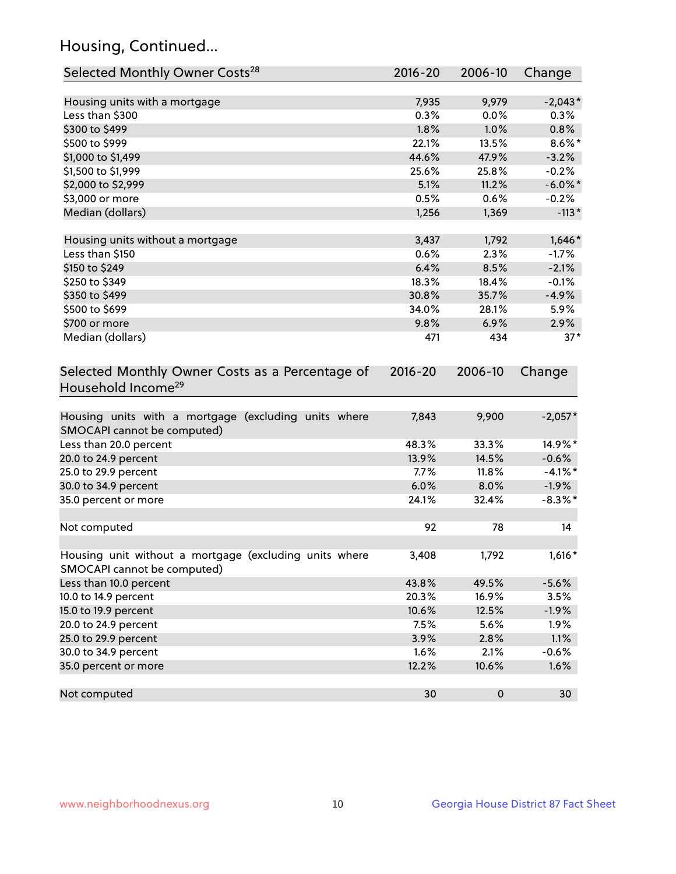## Housing, Continued...

| Selected Monthly Owner Costs <sup>28</sup>                                            | 2016-20     | 2006-10   | Change     |
|---------------------------------------------------------------------------------------|-------------|-----------|------------|
| Housing units with a mortgage                                                         | 7,935       | 9,979     | $-2,043*$  |
| Less than \$300                                                                       | 0.3%        | 0.0%      | 0.3%       |
| \$300 to \$499                                                                        | 1.8%        | 1.0%      | 0.8%       |
| \$500 to \$999                                                                        | 22.1%       | 13.5%     | $8.6\%$ *  |
| \$1,000 to \$1,499                                                                    | 44.6%       | 47.9%     | $-3.2%$    |
| \$1,500 to \$1,999                                                                    | 25.6%       | 25.8%     | $-0.2%$    |
| \$2,000 to \$2,999                                                                    | 5.1%        | 11.2%     | $-6.0\%$ * |
| \$3,000 or more                                                                       | 0.5%        | 0.6%      | $-0.2%$    |
| Median (dollars)                                                                      | 1,256       | 1,369     | $-113*$    |
| Housing units without a mortgage                                                      | 3,437       | 1,792     | $1,646*$   |
| Less than \$150                                                                       | 0.6%        | 2.3%      | $-1.7%$    |
| \$150 to \$249                                                                        | 6.4%        | 8.5%      | $-2.1%$    |
| \$250 to \$349                                                                        | 18.3%       | 18.4%     | $-0.1%$    |
| \$350 to \$499                                                                        | 30.8%       | 35.7%     | $-4.9%$    |
| \$500 to \$699                                                                        | 34.0%       | 28.1%     | 5.9%       |
| \$700 or more                                                                         | 9.8%        | 6.9%      | 2.9%       |
| Median (dollars)                                                                      | 471         | 434       | $37*$      |
| Selected Monthly Owner Costs as a Percentage of<br>Household Income <sup>29</sup>     | $2016 - 20$ | 2006-10   | Change     |
| Housing units with a mortgage (excluding units where<br>SMOCAPI cannot be computed)   | 7,843       | 9,900     | $-2,057*$  |
| Less than 20.0 percent                                                                | 48.3%       | 33.3%     | 14.9%*     |
| 20.0 to 24.9 percent                                                                  | 13.9%       | 14.5%     | $-0.6%$    |
| 25.0 to 29.9 percent                                                                  | 7.7%        | 11.8%     | $-4.1\%$ * |
| 30.0 to 34.9 percent                                                                  | 6.0%        | 8.0%      | $-1.9%$    |
| 35.0 percent or more                                                                  | 24.1%       | 32.4%     | $-8.3\%$ * |
| Not computed                                                                          | 92          | 78        | 14         |
| Housing unit without a mortgage (excluding units where<br>SMOCAPI cannot be computed) | 3,408       | 1,792     | $1,616*$   |
| Less than 10.0 percent                                                                | 43.8%       | 49.5%     | $-5.6%$    |
| 10.0 to 14.9 percent                                                                  | 20.3%       | 16.9%     | 3.5%       |
| 15.0 to 19.9 percent                                                                  | 10.6%       | 12.5%     | $-1.9%$    |
| 20.0 to 24.9 percent                                                                  | 7.5%        | 5.6%      | 1.9%       |
| 25.0 to 29.9 percent                                                                  | 3.9%        | 2.8%      | 1.1%       |
| 30.0 to 34.9 percent                                                                  | 1.6%        | 2.1%      | $-0.6%$    |
| 35.0 percent or more                                                                  | 12.2%       | 10.6%     | 1.6%       |
| Not computed                                                                          | 30          | $\pmb{0}$ | 30         |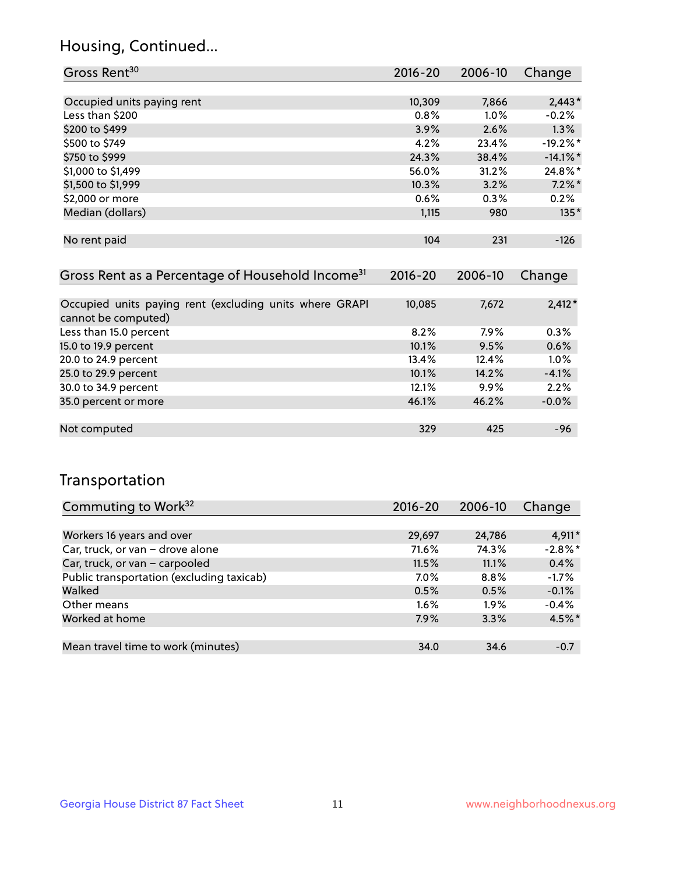### Housing, Continued...

| Gross Rent <sup>30</sup>                                     | 2016-20 | 2006-10 | Change      |
|--------------------------------------------------------------|---------|---------|-------------|
|                                                              |         |         |             |
| Occupied units paying rent                                   | 10,309  | 7,866   | $2,443*$    |
| Less than \$200                                              | 0.8%    | $1.0\%$ | $-0.2%$     |
| \$200 to \$499                                               | 3.9%    | 2.6%    | $1.3\%$     |
| \$500 to \$749                                               | 4.2%    | 23.4%   | $-19.2%$ *  |
| \$750 to \$999                                               | 24.3%   | 38.4%   | $-14.1\%$ * |
| \$1,000 to \$1,499                                           | 56.0%   | 31.2%   | $24.8\%$ *  |
| \$1,500 to \$1,999                                           | 10.3%   | 3.2%    | $7.2\%$ *   |
| \$2,000 or more                                              | 0.6%    | 0.3%    | 0.2%        |
| Median (dollars)                                             | 1,115   | 980     | $135*$      |
|                                                              |         |         |             |
| No rent paid                                                 | 104     | 231     | $-126$      |
|                                                              |         |         |             |
| Gross Rent as a Percentage of Household Income <sup>31</sup> | 2016-20 | 2006-10 | Change      |

| 10,085 | 7,672   | $2,412*$ |
|--------|---------|----------|
|        |         |          |
| 8.2%   | $7.9\%$ | 0.3%     |
| 10.1%  | 9.5%    | 0.6%     |
| 13.4%  | 12.4%   | 1.0%     |
| 10.1%  | 14.2%   | $-4.1%$  |
| 12.1%  | $9.9\%$ | 2.2%     |
| 46.1%  | 46.2%   | $-0.0%$  |
|        |         |          |
| 329    | 425     | $-96$    |
|        |         |          |

### Transportation

| Commuting to Work <sup>32</sup>           | 2016-20 | 2006-10 | Change    |
|-------------------------------------------|---------|---------|-----------|
|                                           |         |         |           |
| Workers 16 years and over                 | 29,697  | 24,786  | $4,911*$  |
| Car, truck, or van - drove alone          | 71.6%   | 74.3%   | $-2.8%$ * |
| Car, truck, or van - carpooled            | 11.5%   | 11.1%   | 0.4%      |
| Public transportation (excluding taxicab) | $7.0\%$ | $8.8\%$ | $-1.7%$   |
| Walked                                    | 0.5%    | 0.5%    | $-0.1%$   |
| Other means                               | $1.6\%$ | $1.9\%$ | $-0.4%$   |
| Worked at home                            | 7.9%    | 3.3%    | $4.5\%$ * |
|                                           |         |         |           |
| Mean travel time to work (minutes)        | 34.0    | 34.6    | $-0.7$    |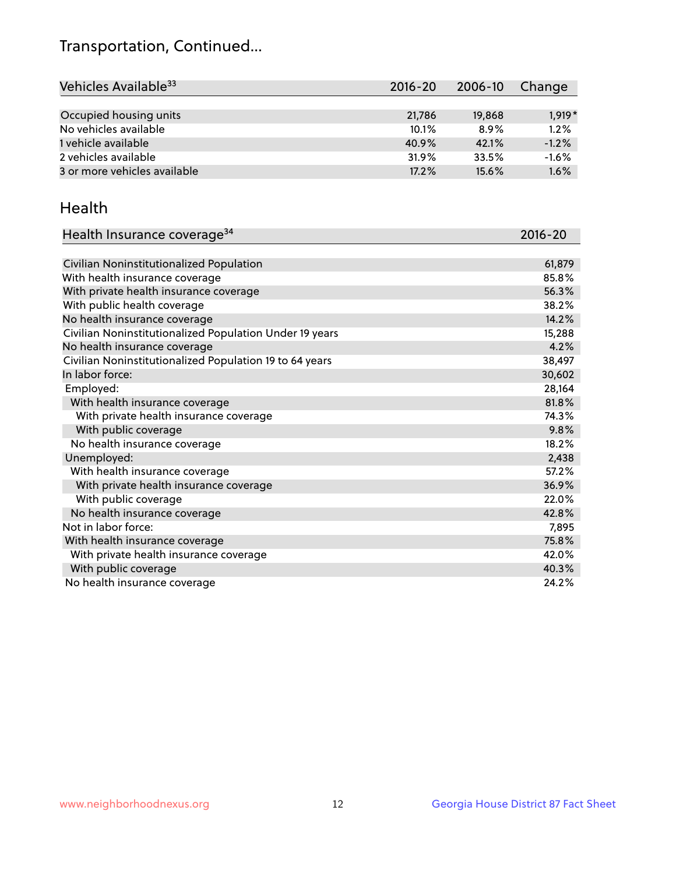## Transportation, Continued...

| Vehicles Available <sup>33</sup> | $2016 - 20$ | 2006-10 | Change   |
|----------------------------------|-------------|---------|----------|
|                                  |             |         |          |
| Occupied housing units           | 21,786      | 19,868  | $1,919*$ |
| No vehicles available            | 10.1%       | 8.9%    | 1.2%     |
| 1 vehicle available              | 40.9%       | 42.1%   | $-1.2%$  |
| 2 vehicles available             | 31.9%       | 33.5%   | $-1.6%$  |
| 3 or more vehicles available     | 17.2%       | 15.6%   | 1.6%     |

#### Health

| Health Insurance coverage <sup>34</sup>                 | 2016-20 |
|---------------------------------------------------------|---------|
|                                                         |         |
| Civilian Noninstitutionalized Population                | 61,879  |
| With health insurance coverage                          | 85.8%   |
| With private health insurance coverage                  | 56.3%   |
| With public health coverage                             | 38.2%   |
| No health insurance coverage                            | 14.2%   |
| Civilian Noninstitutionalized Population Under 19 years | 15,288  |
| No health insurance coverage                            | 4.2%    |
| Civilian Noninstitutionalized Population 19 to 64 years | 38,497  |
| In labor force:                                         | 30,602  |
| Employed:                                               | 28,164  |
| With health insurance coverage                          | 81.8%   |
| With private health insurance coverage                  | 74.3%   |
| With public coverage                                    | 9.8%    |
| No health insurance coverage                            | 18.2%   |
| Unemployed:                                             | 2,438   |
| With health insurance coverage                          | 57.2%   |
| With private health insurance coverage                  | 36.9%   |
| With public coverage                                    | 22.0%   |
| No health insurance coverage                            | 42.8%   |
| Not in labor force:                                     | 7,895   |
| With health insurance coverage                          | 75.8%   |
| With private health insurance coverage                  | 42.0%   |
| With public coverage                                    | 40.3%   |
| No health insurance coverage                            | 24.2%   |